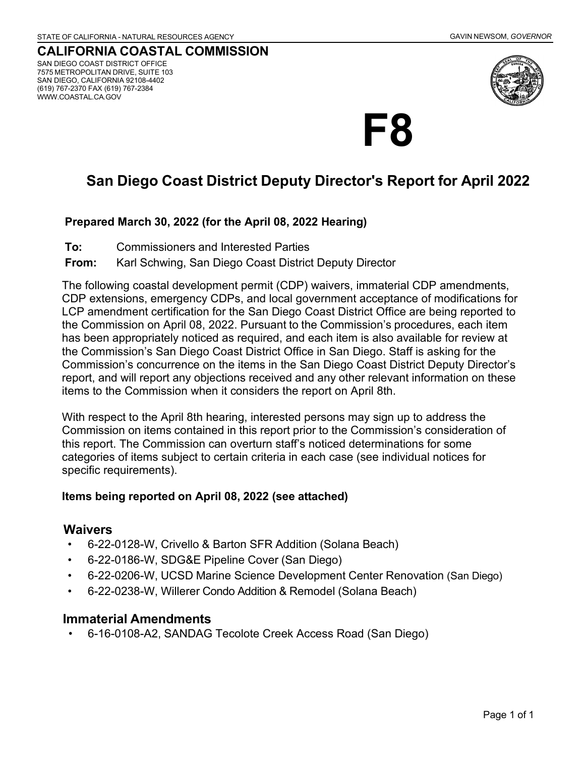#### **CALIFORNIA COASTAL COMMISSION** SAN DIEGO COAST DISTRICT OFFICE 7575 METROPOLITAN DRIVE, SUITE 103 SAN DIEGO, CALIFORNIA 92108-4402 (619) 767-2370 FAX (619) 767-2384 [WWW.COASTAL.CA.GOV](http://www.coastal.ca.gov/)



# **F8**

## **San Diego Coast District Deputy Director's Report for April 2022**

#### **Prepared March 30, 2022 (for the April 08, 2022 Hearing)**

- **To:** Commissioners and Interested Parties
- **From:** Karl Schwing, San Diego Coast District Deputy Director

The following coastal development permit (CDP) waivers, immaterial CDP amendments, CDP extensions, emergency CDPs, and local government acceptance of modifications for LCP amendment certification for the San Diego Coast District Office are being reported to the Commission on April 08, 2022. Pursuant to the Commission's procedures, each item has been appropriately noticed as required, and each item is also available for review at the Commission's San Diego Coast District Office in San Diego. Staff is asking for the Commission's concurrence on the items in the San Diego Coast District Deputy Director's report, and will report any objections received and any other relevant information on these items to the Commission when it considers the report on April 8th.

With respect to the April 8th hearing, interested persons may sign up to address the Commission on items contained in this report prior to the Commission's consideration of this report. The Commission can overturn staff's noticed determinations for some categories of items subject to certain criteria in each case (see individual notices for specific requirements).

#### **Items being reported on April 08, 2022 (see attached)**

#### **Waivers**

- 6-22-0128-W, Crivello & Barton SFR Addition (Solana Beach)
- 6-22-0186-W, SDG&E Pipeline Cover (San Diego)
- 6-22-0206-W, UCSD Marine Science Development Center Renovation (San Diego)
- 6-22-0238-W, Willerer Condo Addition & Remodel (Solana Beach)

#### **Immaterial Amendments**

• 6-16-0108-A2, SANDAG Tecolote Creek Access Road (San Diego)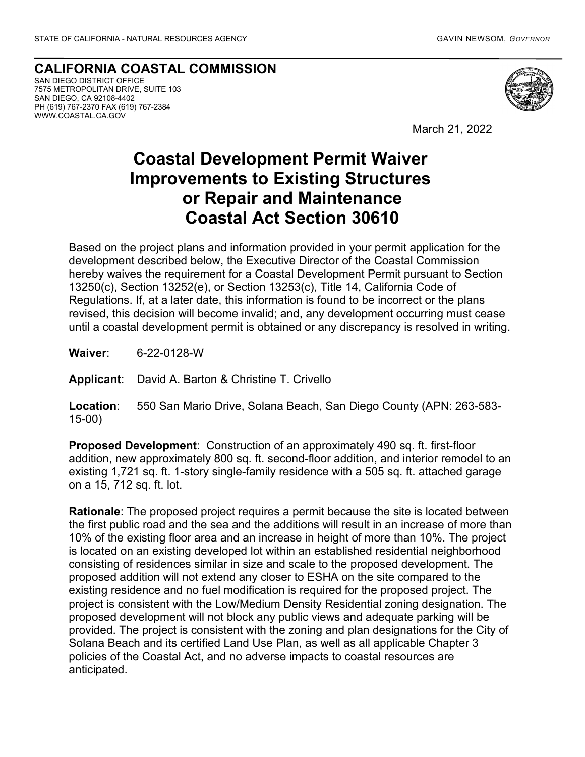**CALIFORNIA COASTAL COMMISSION** SAN DIEGO DISTRICT OFFICE 7575 METROPOLITAN DRIVE, SUITE 103 SAN DIEGO, CA 92108-4402 PH (619) 767-2370 FAX (619) 767-2384 WWW.COASTAL.CA.GOV



March 21, 2022

## **Coastal Development Permit Waiver Improvements to Existing Structures or Repair and Maintenance Coastal Act Section 30610**

Based on the project plans and information provided in your permit application for the development described below, the Executive Director of the Coastal Commission hereby waives the requirement for a Coastal Development Permit pursuant to Section 13250(c), Section 13252(e), or Section 13253(c), Title 14, California Code of Regulations. If, at a later date, this information is found to be incorrect or the plans revised, this decision will become invalid; and, any development occurring must cease until a coastal development permit is obtained or any discrepancy is resolved in writing.

**Waiver**: 6-22-0128-W

**Applicant**: David A. Barton & Christine T. Crivello

**Location**: 550 San Mario Drive, Solana Beach, San Diego County (APN: 263-583- 15-00)

**Proposed Development**: Construction of an approximately 490 sq. ft. first-floor addition, new approximately 800 sq. ft. second-floor addition, and interior remodel to an existing 1,721 sq. ft. 1-story single-family residence with a 505 sq. ft. attached garage on a 15, 712 sq. ft. lot.

**Rationale**: The proposed project requires a permit because the site is located between the first public road and the sea and the additions will result in an increase of more than 10% of the existing floor area and an increase in height of more than 10%. The project is located on an existing developed lot within an established residential neighborhood consisting of residences similar in size and scale to the proposed development. The proposed addition will not extend any closer to ESHA on the site compared to the existing residence and no fuel modification is required for the proposed project. The project is consistent with the Low/Medium Density Residential zoning designation. The proposed development will not block any public views and adequate parking will be provided. The project is consistent with the zoning and plan designations for the City of Solana Beach and its certified Land Use Plan, as well as all applicable Chapter 3 policies of the Coastal Act, and no adverse impacts to coastal resources are anticipated.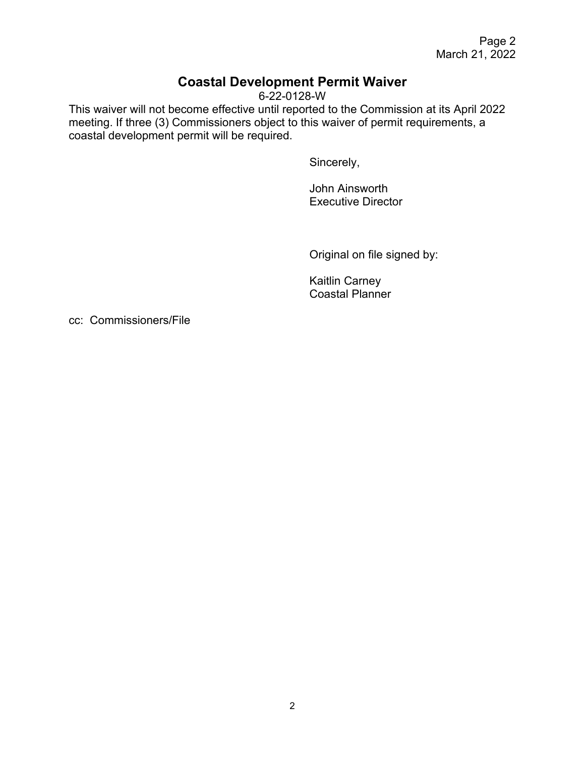Page 2 March 21, 2022

### **Coastal Development Permit Waiver**

6-22-0128-W

This waiver will not become effective until reported to the Commission at its April 2022 meeting. If three (3) Commissioners object to this waiver of permit requirements, a coastal development permit will be required.

Sincerely,

John Ainsworth Executive Director

Original on file signed by:

Kaitlin Carney Coastal Planner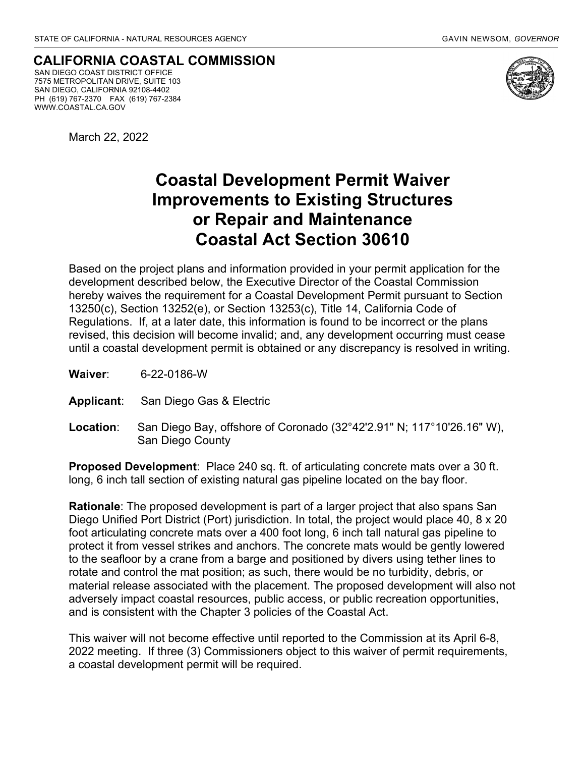**CALIFORNIA COASTAL COMMISSION** SAN DIEGO COAST DISTRICT OFFICE 7575 METROPOLITAN DRIVE, SUITE 103 SAN DIEGO, CALIFORNIA 92108-4402 PH (619) 767-2370 FAX (619) 767-2384 WWW.COASTAL.CA.GOV



March 22, 2022

## **Coastal Development Permit Waiver Improvements to Existing Structures or Repair and Maintenance Coastal Act Section 30610**

Based on the project plans and information provided in your permit application for the development described below, the Executive Director of the Coastal Commission hereby waives the requirement for a Coastal Development Permit pursuant to Section 13250(c), Section 13252(e), or Section 13253(c), Title 14, California Code of Regulations. If, at a later date, this information is found to be incorrect or the plans revised, this decision will become invalid; and, any development occurring must cease until a coastal development permit is obtained or any discrepancy is resolved in writing.

- **Waiver**: 6-22-0186-W
- **Applicant**: San Diego Gas & Electric
- **Location**: San Diego Bay, offshore of Coronado (32°42'2.91" N; 117°10'26.16" W), San Diego County

**Proposed Development**: Place 240 sq. ft. of articulating concrete mats over a 30 ft. long, 6 inch tall section of existing natural gas pipeline located on the bay floor.

**Rationale**: The proposed development is part of a larger project that also spans San Diego Unified Port District (Port) jurisdiction. In total, the project would place 40, 8 x 20 foot articulating concrete mats over a 400 foot long, 6 inch tall natural gas pipeline to protect it from vessel strikes and anchors. The concrete mats would be gently lowered to the seafloor by a crane from a barge and positioned by divers using tether lines to rotate and control the mat position; as such, there would be no turbidity, debris, or material release associated with the placement. The proposed development will also not adversely impact coastal resources, public access, or public recreation opportunities, and is consistent with the Chapter 3 policies of the Coastal Act.

This waiver will not become effective until reported to the Commission at its April 6-8, 2022 meeting. If three (3) Commissioners object to this waiver of permit requirements, a coastal development permit will be required.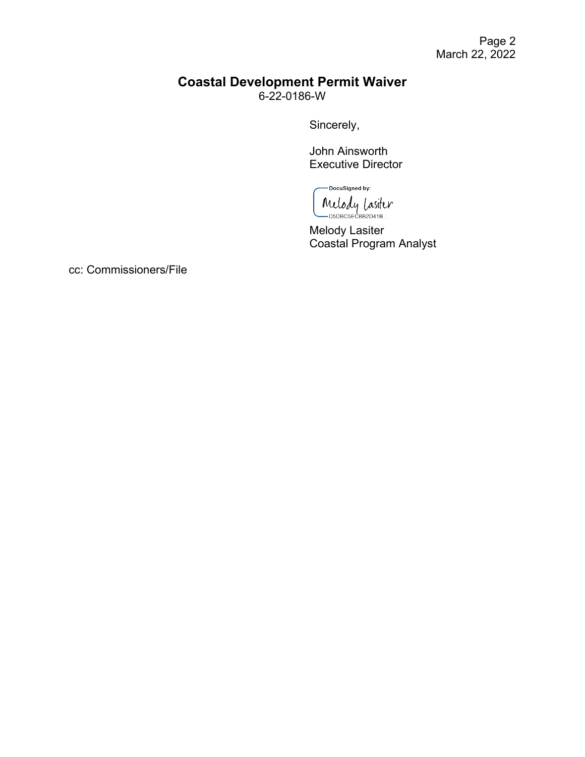#### **Coastal Development Permit Waiver** 6-22-0186-W

Sincerely,

John Ainsworth Executive Director

-DocuSigned by: Melody Lasiter

Melody Lasiter Coastal Program Analyst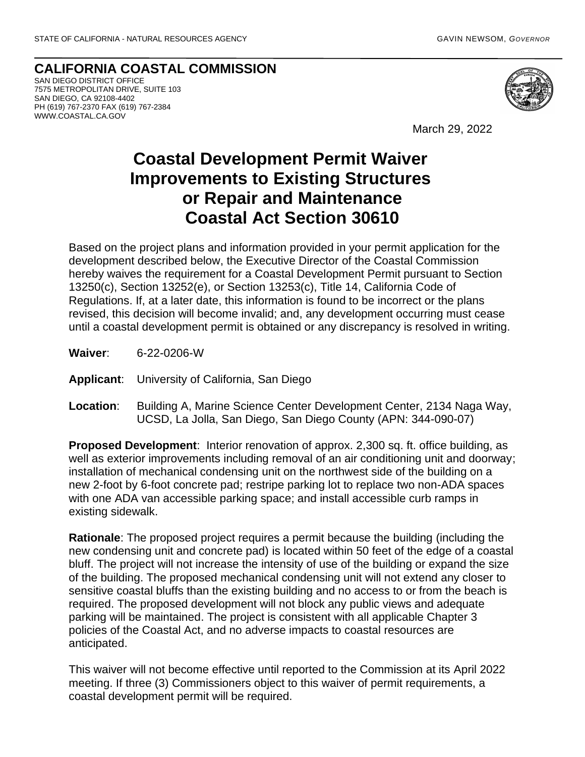**CALIFORNIA COASTAL COMMISSION** SAN DIEGO DISTRICT OFFICE 7575 METROPOLITAN DRIVE, SUITE 103 SAN DIEGO, CA 92108-4402 PH (619) 767-2370 FAX (619) 767-2384 WWW.COASTAL.CA.GOV



March 29, 2022

## **Coastal Development Permit Waiver Improvements to Existing Structures or Repair and Maintenance Coastal Act Section 30610**

Based on the project plans and information provided in your permit application for the development described below, the Executive Director of the Coastal Commission hereby waives the requirement for a Coastal Development Permit pursuant to Section 13250(c), Section 13252(e), or Section 13253(c), Title 14, California Code of Regulations. If, at a later date, this information is found to be incorrect or the plans revised, this decision will become invalid; and, any development occurring must cease until a coastal development permit is obtained or any discrepancy is resolved in writing.

**Waiver**: 6-22-0206-W

**Applicant**: University of California, San Diego

**Location**: Building A, Marine Science Center Development Center, 2134 Naga Way, UCSD, La Jolla, San Diego, San Diego County (APN: 344-090-07)

**Proposed Development**: Interior renovation of approx. 2,300 sq. ft. office building, as well as exterior improvements including removal of an air conditioning unit and doorway; installation of mechanical condensing unit on the northwest side of the building on a new 2-foot by 6-foot concrete pad; restripe parking lot to replace two non-ADA spaces with one ADA van accessible parking space; and install accessible curb ramps in existing sidewalk.

**Rationale**: The proposed project requires a permit because the building (including the new condensing unit and concrete pad) is located within 50 feet of the edge of a coastal bluff. The project will not increase the intensity of use of the building or expand the size of the building. The proposed mechanical condensing unit will not extend any closer to sensitive coastal bluffs than the existing building and no access to or from the beach is required. The proposed development will not block any public views and adequate parking will be maintained. The project is consistent with all applicable Chapter 3 policies of the Coastal Act, and no adverse impacts to coastal resources are anticipated.

This waiver will not become effective until reported to the Commission at its April 2022 meeting. If three (3) Commissioners object to this waiver of permit requirements, a coastal development permit will be required.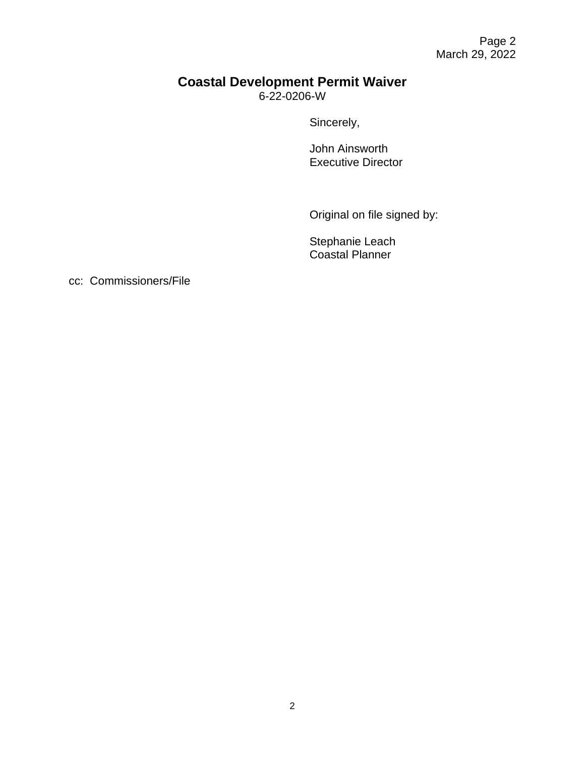## **Coastal Development Permit Waiver**

6-22-0206-W

Sincerely,

John Ainsworth Executive Director

Original on file signed by:

Stephanie Leach Coastal Planner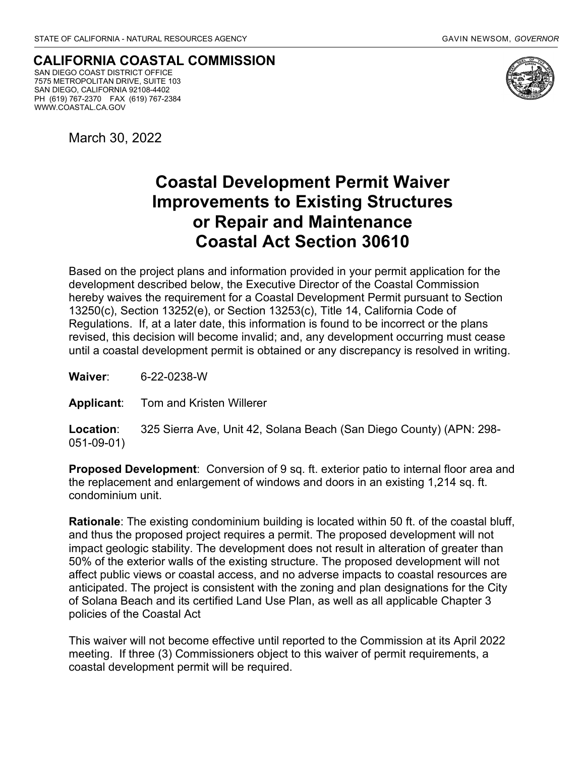**CALIFORNIA COASTAL COMMISSION** SAN DIEGO COAST DISTRICT OFFICE 7575 METROPOLITAN DRIVE, SUITE 103 SAN DIEGO, CALIFORNIA 92108-4402 PH (619) 767-2370 FAX (619) 767-2384 WWW.COASTAL.CA.GOV



March 30, 2022

## **Coastal Development Permit Waiver Improvements to Existing Structures or Repair and Maintenance Coastal Act Section 30610**

Based on the project plans and information provided in your permit application for the development described below, the Executive Director of the Coastal Commission hereby waives the requirement for a Coastal Development Permit pursuant to Section 13250(c), Section 13252(e), or Section 13253(c), Title 14, California Code of Regulations. If, at a later date, this information is found to be incorrect or the plans revised, this decision will become invalid; and, any development occurring must cease until a coastal development permit is obtained or any discrepancy is resolved in writing.

**Waiver**: 6-22-0238-W

**Applicant**: Tom and Kristen Willerer

**Location**: 325 Sierra Ave, Unit 42, Solana Beach (San Diego County) (APN: 298- 051-09-01)

**Proposed Development**: Conversion of 9 sq. ft. exterior patio to internal floor area and the replacement and enlargement of windows and doors in an existing 1,214 sq. ft. condominium unit.

**Rationale**: The existing condominium building is located within 50 ft. of the coastal bluff, and thus the proposed project requires a permit. The proposed development will not impact geologic stability. The development does not result in alteration of greater than 50% of the exterior walls of the existing structure. The proposed development will not affect public views or coastal access, and no adverse impacts to coastal resources are anticipated. The project is consistent with the zoning and plan designations for the City of Solana Beach and its certified Land Use Plan, as well as all applicable Chapter 3 policies of the Coastal Act

This waiver will not become effective until reported to the Commission at its April 2022 meeting. If three (3) Commissioners object to this waiver of permit requirements, a coastal development permit will be required.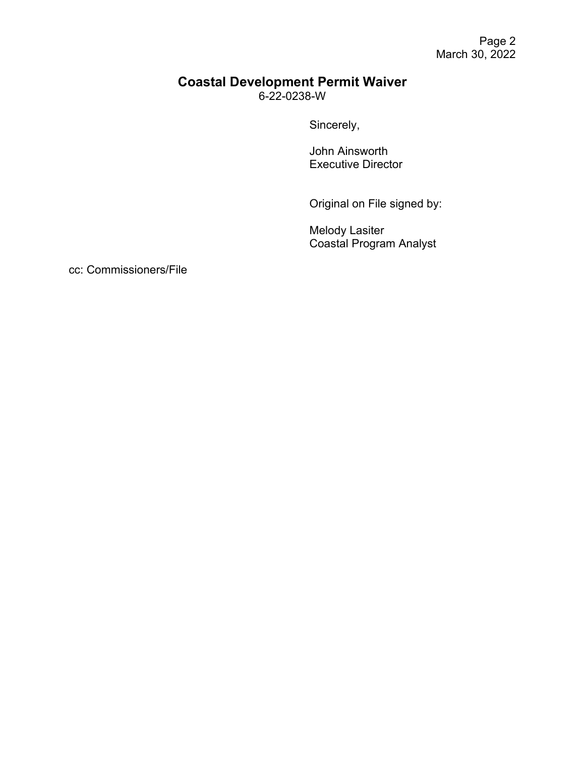#### **Coastal Development Permit Waiver** 6-22-0238-W

Sincerely,

John Ainsworth Executive Director

Original on File signed by:

Melody Lasiter Coastal Program Analyst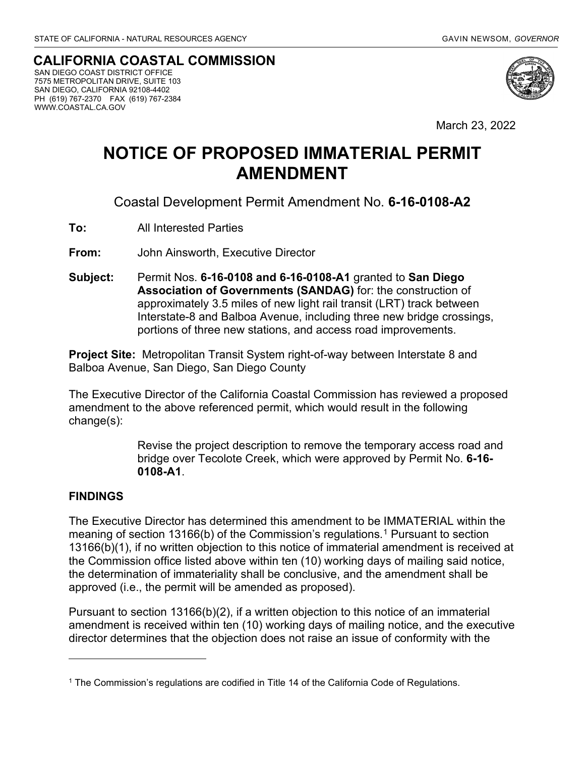#### **CALIFORNIA COASTAL COMMISSION**

 SAN DIEGO COAST DISTRICT OFFICE 7575 METROPOLITAN DRIVE, SUITE 103 SAN DIEGO, CALIFORNIA 92108-4402 PH (619) 767-2370 FAX (619) 767-2384 WWW.COASTAL.CA.GOV



March 23, 2022

## **NOTICE OF PROPOSED IMMATERIAL PERMIT AMENDMENT**

Coastal Development Permit Amendment No. **6-16-0108-A2**

**To:** All Interested Parties

**From:** John Ainsworth, Executive Director

**Subject:** Permit Nos. **6-16-0108 and 6-16-0108-A1** granted to **San Diego Association of Governments (SANDAG)** for: the construction of approximately 3.5 miles of new light rail transit (LRT) track between Interstate-8 and Balboa Avenue, including three new bridge crossings, portions of three new stations, and access road improvements.

**Project Site:** Metropolitan Transit System right-of-way between Interstate 8 and Balboa Avenue, San Diego, San Diego County

The Executive Director of the California Coastal Commission has reviewed a proposed amendment to the above referenced permit, which would result in the following change(s):

> Revise the project description to remove the temporary access road and bridge over Tecolote Creek, which were approved by Permit No. **6-16- 0108-A1**.

#### **FINDINGS**

The Executive Director has determined this amendment to be IMMATERIAL within the meaning of section [1](#page-9-0)3166(b) of the Commission's regulations.<sup>1</sup> Pursuant to section 13166(b)(1), if no written objection to this notice of immaterial amendment is received at the Commission office listed above within ten (10) working days of mailing said notice, the determination of immateriality shall be conclusive, and the amendment shall be approved (i.e., the permit will be amended as proposed).

Pursuant to section 13166(b)(2), if a written objection to this notice of an immaterial amendment is received within ten (10) working days of mailing notice, and the executive director determines that the objection does not raise an issue of conformity with the

<span id="page-9-0"></span><sup>1</sup> The Commission's regulations are codified in Title 14 of the California Code of Regulations.